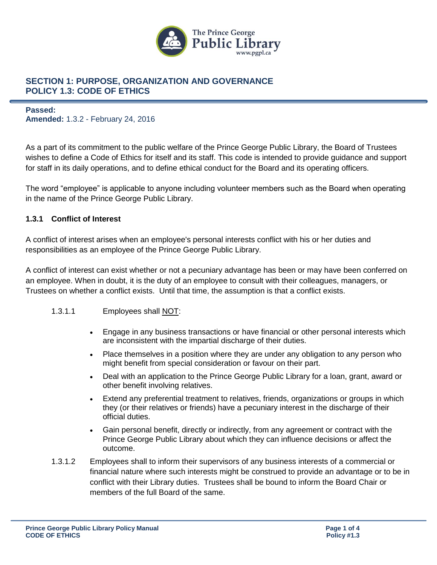

### **Passed: Amended:** 1.3.2 - February 24, 2016

As a part of its commitment to the public welfare of the Prince George Public Library, the Board of Trustees wishes to define a Code of Ethics for itself and its staff. This code is intended to provide guidance and support for staff in its daily operations, and to define ethical conduct for the Board and its operating officers.

The word "employee" is applicable to anyone including volunteer members such as the Board when operating in the name of the Prince George Public Library.

### **1.3.1 Conflict of Interest**

A conflict of interest arises when an employee's personal interests conflict with his or her duties and responsibilities as an employee of the Prince George Public Library.

A conflict of interest can exist whether or not a pecuniary advantage has been or may have been conferred on an employee. When in doubt, it is the duty of an employee to consult with their colleagues, managers, or Trustees on whether a conflict exists. Until that time, the assumption is that a conflict exists.

### 1.3.1.1 Employees shall NOT:

- Engage in any business transactions or have financial or other personal interests which are inconsistent with the impartial discharge of their duties.
- Place themselves in a position where they are under any obligation to any person who might benefit from special consideration or favour on their part.
- Deal with an application to the Prince George Public Library for a loan, grant, award or other benefit involving relatives.
- Extend any preferential treatment to relatives, friends, organizations or groups in which they (or their relatives or friends) have a pecuniary interest in the discharge of their official duties.
- Gain personal benefit, directly or indirectly, from any agreement or contract with the Prince George Public Library about which they can influence decisions or affect the outcome.
- 1.3.1.2 Employees shall to inform their supervisors of any business interests of a commercial or financial nature where such interests might be construed to provide an advantage or to be in conflict with their Library duties. Trustees shall be bound to inform the Board Chair or members of the full Board of the same.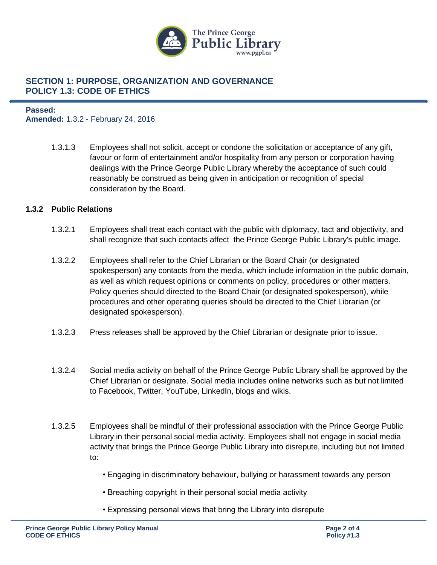

### **Passed: Amended:** 1.3.2 - February 24, 2016

1.3.1.3 Employees shall not solicit, accept or condone the solicitation or acceptance of any gift, favour or form of entertainment and/or hospitality from any person or corporation having dealings with the Prince George Public Library whereby the acceptance of such could reasonably be construed as being given in anticipation or recognition of special consideration by the Board.

### **1.3.2 Public Relations**

- 1.3.2.1 Employees shall treat each contact with the public with diplomacy, tact and objectivity, and shall recognize that such contacts affect the Prince George Public Library's public image.
- 1.3.2.2 Employees shall refer to the Chief Librarian or the Board Chair (or designated spokesperson) any contacts from the media, which include information in the public domain, as well as which request opinions or comments on policy, procedures or other matters. Policy queries should directed to the Board Chair (or designated spokesperson), while procedures and other operating queries should be directed to the Chief Librarian (or designated spokesperson).
- 1.3.2.3 Press releases shall be approved by the Chief Librarian or designate prior to issue.
- 1.3.2.4 Social media activity on behalf of the Prince George Public Library shall be approved by the Chief Librarian or designate. Social media includes online networks such as but not limited to Facebook, Twitter, YouTube, LinkedIn, blogs and wikis.
- 1.3.2.5 Employees shall be mindful of their professional association with the Prince George Public Library in their personal social media activity. Employees shall not engage in social media activity that brings the Prince George Public Library into disrepute, including but not limited to:
	- Engaging in discriminatory behaviour, bullying or harassment towards any person
	- Breaching copyright in their personal social media activity
	- Expressing personal views that bring the Library into disrepute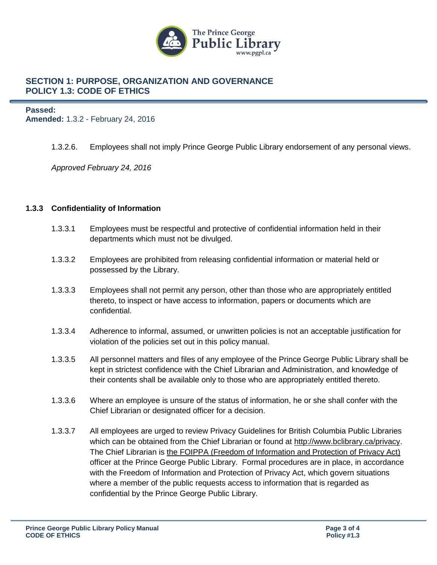

**Passed: Amended:** 1.3.2 - February 24, 2016

1.3.2.6. Employees shall not imply Prince George Public Library endorsement of any personal views.

*Approved February 24, 2016*

### **1.3.3 Confidentiality of Information**

- 1.3.3.1 Employees must be respectful and protective of confidential information held in their departments which must not be divulged.
- 1.3.3.2 Employees are prohibited from releasing confidential information or material held or possessed by the Library.
- 1.3.3.3 Employees shall not permit any person, other than those who are appropriately entitled thereto, to inspect or have access to information, papers or documents which are confidential.
- 1.3.3.4 Adherence to informal, assumed, or unwritten policies is not an acceptable justification for violation of the policies set out in this policy manual.
- 1.3.3.5 All personnel matters and files of any employee of the Prince George Public Library shall be kept in strictest confidence with the Chief Librarian and Administration, and knowledge of their contents shall be available only to those who are appropriately entitled thereto.
- 1.3.3.6 Where an employee is unsure of the status of information, he or she shall confer with the Chief Librarian or designated officer for a decision.
- 1.3.3.7 All employees are urged to review Privacy Guidelines for British Columbia Public Libraries which can be obtained from the Chief Librarian or found at [http://www.bclibrary.ca/privacy.](http://www.bclibrary.ca/privacy) The Chief Librarian is [the FOIPPA \(Freedom of Information and Protection of Privacy Act\)](http://www.qp.gov.bc.ca/statreg/stat/F/96165_01.htm) officer at the Prince George Public Library. Formal procedures are in place, in accordance with the Freedom of Information and Protection of Privacy Act, which govern situations where a member of the public requests access to information that is regarded as confidential by the Prince George Public Library.